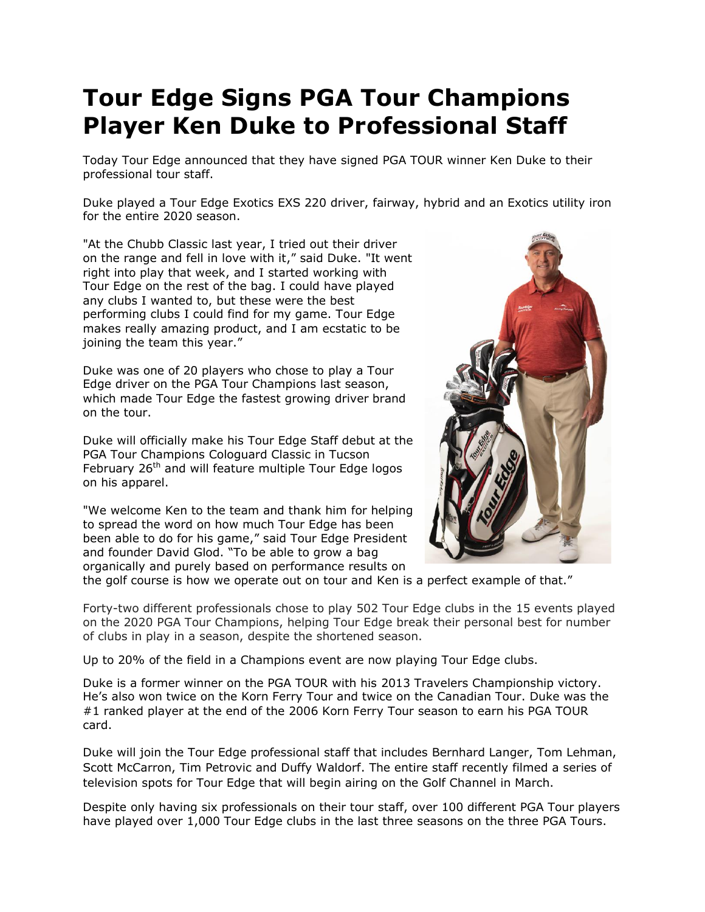## **Tour Edge Signs PGA Tour Champions Player Ken Duke to Professional Staff**

Today Tour Edge announced that they have signed PGA TOUR winner Ken Duke to their professional tour staff.

Duke played a Tour Edge Exotics EXS 220 driver, fairway, hybrid and an Exotics utility iron for the entire 2020 season.

"At the Chubb Classic last year, I tried out their driver on the range and fell in love with it," said Duke. "It went right into play that week, and I started working with Tour Edge on the rest of the bag. I could have played any clubs I wanted to, but these were the best performing clubs I could find for my game. Tour Edge makes really amazing product, and I am ecstatic to be joining the team this year."

Duke was one of 20 players who chose to play a Tour Edge driver on the PGA Tour Champions last season, which made Tour Edge the fastest growing driver brand on the tour.

Duke will officially make his Tour Edge Staff debut at the PGA Tour Champions Cologuard Classic in Tucson February 26<sup>th</sup> and will feature multiple Tour Edge logos on his apparel.

"We welcome Ken to the team and thank him for helping to spread the word on how much Tour Edge has been been able to do for his game," said Tour Edge President and founder David Glod. "To be able to grow a bag organically and purely based on performance results on



the golf course is how we operate out on tour and Ken is a perfect example of that."

Forty-two different professionals chose to play 502 Tour Edge clubs in the 15 events played on the 2020 PGA Tour Champions, helping Tour Edge break their personal best for number of clubs in play in a season, despite the shortened season.

Up to 20% of the field in a Champions event are now playing Tour Edge clubs.

Duke is a former winner on the PGA TOUR with his 2013 Travelers Championship victory. He's also won twice on the Korn Ferry Tour and twice on the Canadian Tour. Duke was the #1 ranked player at the end of the 2006 Korn Ferry Tour season to earn his PGA TOUR card.

Duke will join the Tour Edge professional staff that includes Bernhard Langer, Tom Lehman, Scott McCarron, Tim Petrovic and Duffy Waldorf. The entire staff recently filmed a series of television spots for Tour Edge that will begin airing on the Golf Channel in March.

Despite only having six professionals on their tour staff, over 100 different PGA Tour players have played over 1,000 Tour Edge clubs in the last three seasons on the three PGA Tours.